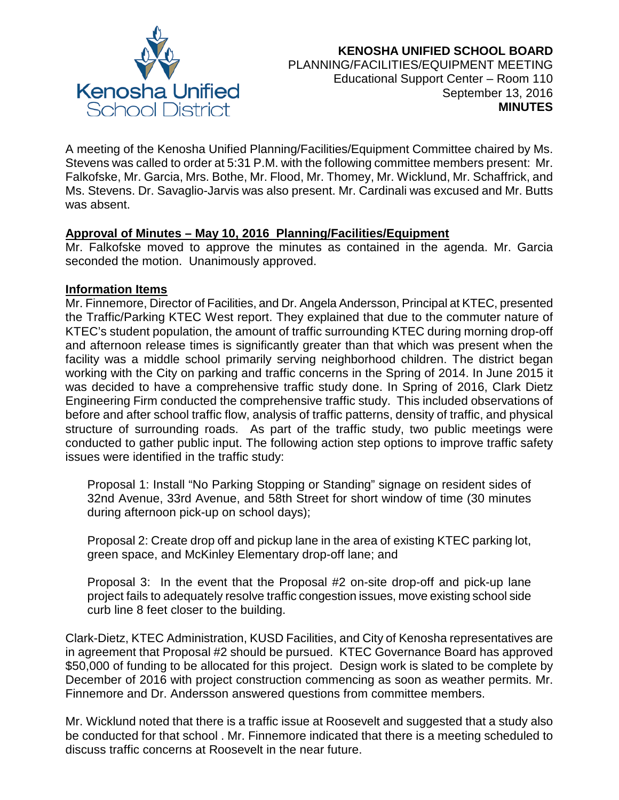

# **KENOSHA UNIFIED SCHOOL BOARD** PLANNING/FACILITIES/EQUIPMENT MEETING Educational Support Center – Room 110 September 13, 2016 **MINUTES**

A meeting of the Kenosha Unified Planning/Facilities/Equipment Committee chaired by Ms. Stevens was called to order at 5:31 P.M. with the following committee members present: Mr. Falkofske, Mr. Garcia, Mrs. Bothe, Mr. Flood, Mr. Thomey, Mr. Wicklund, Mr. Schaffrick, and Ms. Stevens. Dr. Savaglio-Jarvis was also present. Mr. Cardinali was excused and Mr. Butts was absent.

## **Approval of Minutes – May 10, 2016 Planning/Facilities/Equipment**

Mr. Falkofske moved to approve the minutes as contained in the agenda. Mr. Garcia seconded the motion. Unanimously approved.

## **Information Items**

Mr. Finnemore, Director of Facilities, and Dr. Angela Andersson, Principal at KTEC, presented the Traffic/Parking KTEC West report. They explained that due to the commuter nature of KTEC's student population, the amount of traffic surrounding KTEC during morning drop-off and afternoon release times is significantly greater than that which was present when the facility was a middle school primarily serving neighborhood children. The district began working with the City on parking and traffic concerns in the Spring of 2014. In June 2015 it was decided to have a comprehensive traffic study done. In Spring of 2016, Clark Dietz Engineering Firm conducted the comprehensive traffic study. This included observations of before and after school traffic flow, analysis of traffic patterns, density of traffic, and physical structure of surrounding roads. As part of the traffic study, two public meetings were conducted to gather public input. The following action step options to improve traffic safety issues were identified in the traffic study:

Proposal 1: Install "No Parking Stopping or Standing" signage on resident sides of 32nd Avenue, 33rd Avenue, and 58th Street for short window of time (30 minutes during afternoon pick-up on school days);

Proposal 2: Create drop off and pickup lane in the area of existing KTEC parking lot, green space, and McKinley Elementary drop-off lane; and

Proposal 3: In the event that the Proposal #2 on-site drop-off and pick-up lane project fails to adequately resolve traffic congestion issues, move existing school side curb line 8 feet closer to the building.

Clark-Dietz, KTEC Administration, KUSD Facilities, and City of Kenosha representatives are in agreement that Proposal #2 should be pursued. KTEC Governance Board has approved \$50,000 of funding to be allocated for this project. Design work is slated to be complete by December of 2016 with project construction commencing as soon as weather permits. Mr. Finnemore and Dr. Andersson answered questions from committee members.

Mr. Wicklund noted that there is a traffic issue at Roosevelt and suggested that a study also be conducted for that school . Mr. Finnemore indicated that there is a meeting scheduled to discuss traffic concerns at Roosevelt in the near future.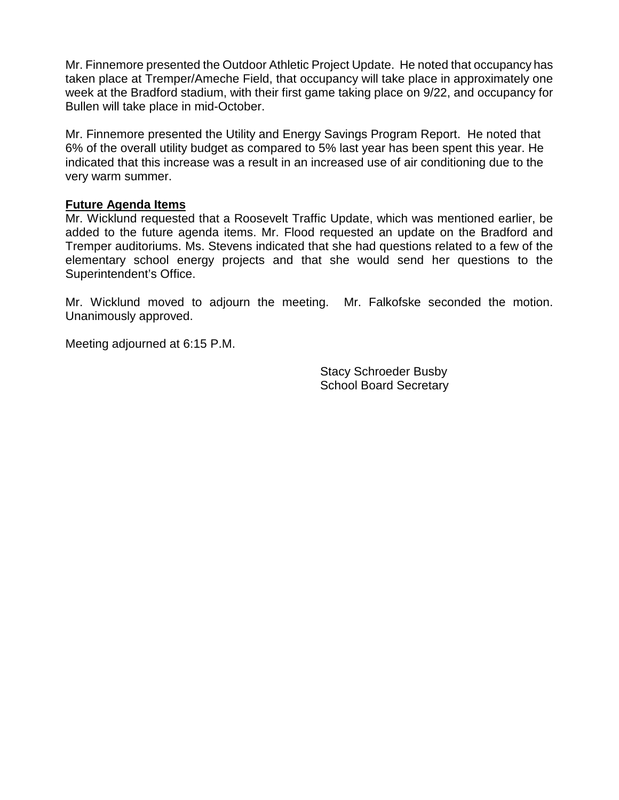Mr. Finnemore presented the Outdoor Athletic Project Update. He noted that occupancy has taken place at Tremper/Ameche Field, that occupancy will take place in approximately one week at the Bradford stadium, with their first game taking place on 9/22, and occupancy for Bullen will take place in mid-October.

Mr. Finnemore presented the Utility and Energy Savings Program Report. He noted that 6% of the overall utility budget as compared to 5% last year has been spent this year. He indicated that this increase was a result in an increased use of air conditioning due to the very warm summer.

#### **Future Agenda Items**

Mr. Wicklund requested that a Roosevelt Traffic Update, which was mentioned earlier, be added to the future agenda items. Mr. Flood requested an update on the Bradford and Tremper auditoriums. Ms. Stevens indicated that she had questions related to a few of the elementary school energy projects and that she would send her questions to the Superintendent's Office.

Mr. Wicklund moved to adjourn the meeting. Mr. Falkofske seconded the motion. Unanimously approved.

Meeting adjourned at 6:15 P.M.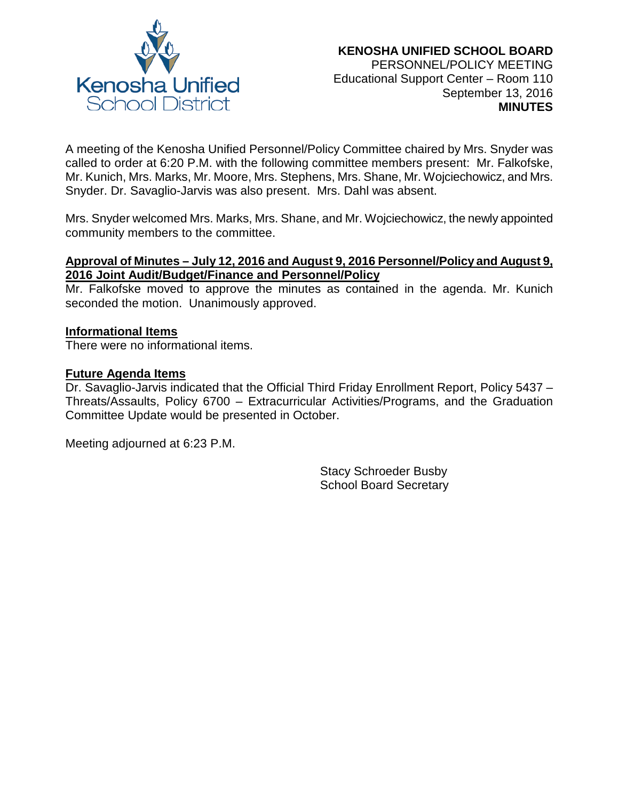

A meeting of the Kenosha Unified Personnel/Policy Committee chaired by Mrs. Snyder was called to order at 6:20 P.M. with the following committee members present: Mr. Falkofske, Mr. Kunich, Mrs. Marks, Mr. Moore, Mrs. Stephens, Mrs. Shane, Mr. Wojciechowicz, and Mrs. Snyder. Dr. Savaglio-Jarvis was also present. Mrs. Dahl was absent.

Mrs. Snyder welcomed Mrs. Marks, Mrs. Shane, and Mr. Wojciechowicz, the newly appointed community members to the committee.

#### **Approval of Minutes – July 12, 2016 and August 9, 2016 Personnel/Policy and August 9, 2016 Joint Audit/Budget/Finance and Personnel/Policy**

Mr. Falkofske moved to approve the minutes as contained in the agenda. Mr. Kunich seconded the motion. Unanimously approved.

#### **Informational Items**

There were no informational items.

#### **Future Agenda Items**

Dr. Savaglio-Jarvis indicated that the Official Third Friday Enrollment Report, Policy 5437 – Threats/Assaults, Policy 6700 – Extracurricular Activities/Programs, and the Graduation Committee Update would be presented in October.

Meeting adjourned at 6:23 P.M.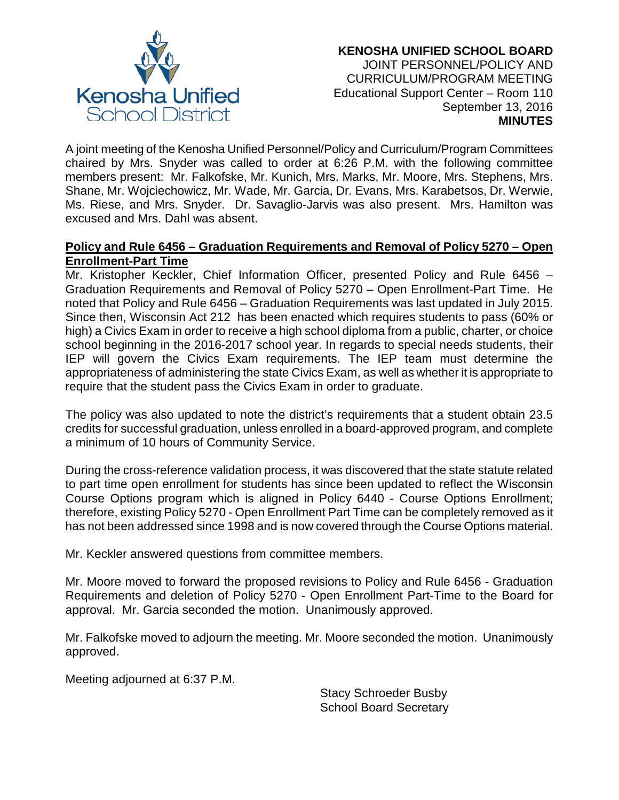

 **KENOSHA UNIFIED SCHOOL BOARD** JOINT PERSONNEL/POLICY AND CURRICULUM/PROGRAM MEETING Educational Support Center – Room 110 September 13, 2016 **MINUTES**

A joint meeting of the Kenosha Unified Personnel/Policy and Curriculum/Program Committees chaired by Mrs. Snyder was called to order at 6:26 P.M. with the following committee members present: Mr. Falkofske, Mr. Kunich, Mrs. Marks, Mr. Moore, Mrs. Stephens, Mrs. Shane, Mr. Wojciechowicz, Mr. Wade, Mr. Garcia, Dr. Evans, Mrs. Karabetsos, Dr. Werwie, Ms. Riese, and Mrs. Snyder. Dr. Savaglio-Jarvis was also present. Mrs. Hamilton was excused and Mrs. Dahl was absent.

#### **Policy and Rule 6456 – Graduation Requirements and Removal of Policy 5270 – Open Enrollment-Part Time**

Mr. Kristopher Keckler, Chief Information Officer, presented Policy and Rule 6456 – Graduation Requirements and Removal of Policy 5270 – Open Enrollment-Part Time. He noted that Policy and Rule 6456 – Graduation Requirements was last updated in July 2015. Since then, Wisconsin Act 212 has been enacted which requires students to pass (60% or high) a Civics Exam in order to receive a high school diploma from a public, charter, or choice school beginning in the 2016-2017 school year. In regards to special needs students, their IEP will govern the Civics Exam requirements. The IEP team must determine the appropriateness of administering the state Civics Exam, as well as whether it is appropriate to require that the student pass the Civics Exam in order to graduate.

The policy was also updated to note the district's requirements that a student obtain 23.5 credits for successful graduation, unless enrolled in a board-approved program, and complete a minimum of 10 hours of Community Service.

During the cross-reference validation process, it was discovered that the state statute related to part time open enrollment for students has since been updated to reflect the Wisconsin Course Options program which is aligned in Policy 6440 - Course Options Enrollment; therefore, existing Policy 5270 - Open Enrollment Part Time can be completely removed as it has not been addressed since 1998 and is now covered through the Course Options material.

Mr. Keckler answered questions from committee members.

Mr. Moore moved to forward the proposed revisions to Policy and Rule 6456 - Graduation Requirements and deletion of Policy 5270 - Open Enrollment Part-Time to the Board for approval. Mr. Garcia seconded the motion. Unanimously approved.

Mr. Falkofske moved to adjourn the meeting. Mr. Moore seconded the motion. Unanimously approved.

Meeting adjourned at 6:37 P.M.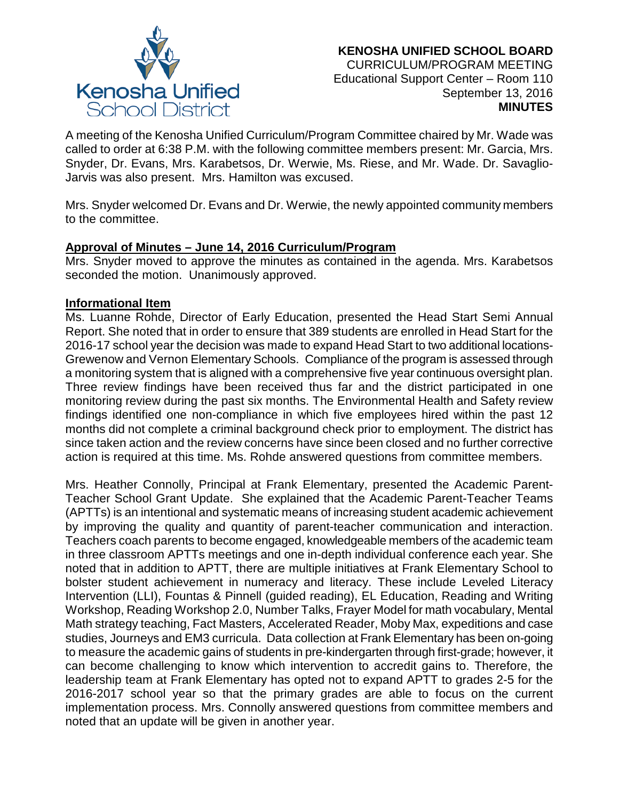

A meeting of the Kenosha Unified Curriculum/Program Committee chaired by Mr. Wade was called to order at 6:38 P.M. with the following committee members present: Mr. Garcia, Mrs. Snyder, Dr. Evans, Mrs. Karabetsos, Dr. Werwie, Ms. Riese, and Mr. Wade. Dr. Savaglio-Jarvis was also present. Mrs. Hamilton was excused.

Mrs. Snyder welcomed Dr. Evans and Dr. Werwie, the newly appointed community members to the committee.

# **Approval of Minutes – June 14, 2016 Curriculum/Program**

Mrs. Snyder moved to approve the minutes as contained in the agenda. Mrs. Karabetsos seconded the motion. Unanimously approved.

## **Informational Item**

Ms. Luanne Rohde, Director of Early Education, presented the Head Start Semi Annual Report. She noted that in order to ensure that 389 students are enrolled in Head Start for the 2016-17 school year the decision was made to expand Head Start to two additional locations-Grewenow and Vernon Elementary Schools. Compliance of the program is assessed through a monitoring system that is aligned with a comprehensive five year continuous oversight plan. Three review findings have been received thus far and the district participated in one monitoring review during the past six months. The Environmental Health and Safety review findings identified one non-compliance in which five employees hired within the past 12 months did not complete a criminal background check prior to employment. The district has since taken action and the review concerns have since been closed and no further corrective action is required at this time. Ms. Rohde answered questions from committee members.

Mrs. Heather Connolly, Principal at Frank Elementary, presented the Academic Parent-Teacher School Grant Update. She explained that the Academic Parent-Teacher Teams (APTTs) is an intentional and systematic means of increasing student academic achievement by improving the quality and quantity of parent-teacher communication and interaction. Teachers coach parents to become engaged, knowledgeable members of the academic team in three classroom APTTs meetings and one in-depth individual conference each year. She noted that in addition to APTT, there are multiple initiatives at Frank Elementary School to bolster student achievement in numeracy and literacy. These include Leveled Literacy Intervention (LLI), Fountas & Pinnell (guided reading), EL Education, Reading and Writing Workshop, Reading Workshop 2.0, Number Talks, Frayer Model for math vocabulary, Mental Math strategy teaching, Fact Masters, Accelerated Reader, Moby Max, expeditions and case studies, Journeys and EM3 curricula. Data collection at Frank Elementary has been on-going to measure the academic gains of students in pre-kindergarten through first-grade; however, it can become challenging to know which intervention to accredit gains to. Therefore, the leadership team at Frank Elementary has opted not to expand APTT to grades 2-5 for the 2016-2017 school year so that the primary grades are able to focus on the current implementation process. Mrs. Connolly answered questions from committee members and noted that an update will be given in another year.